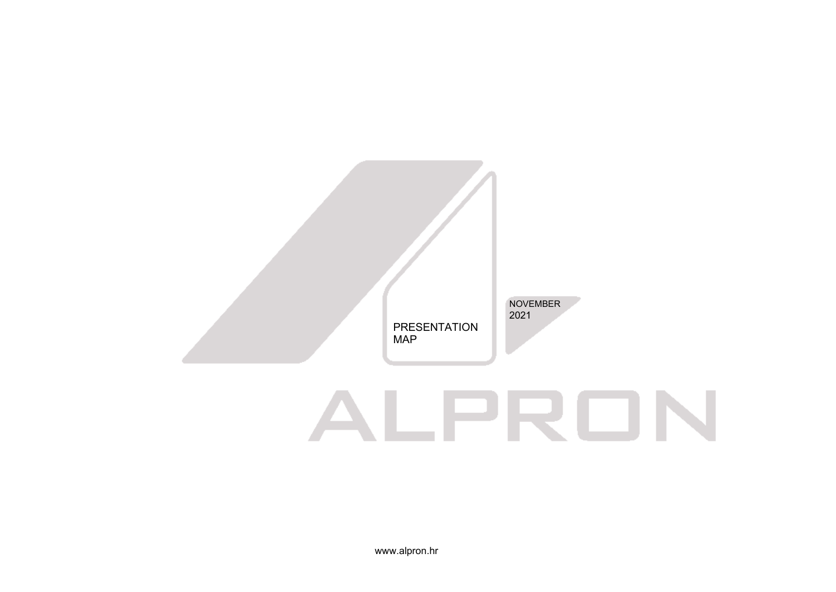

# ALPRON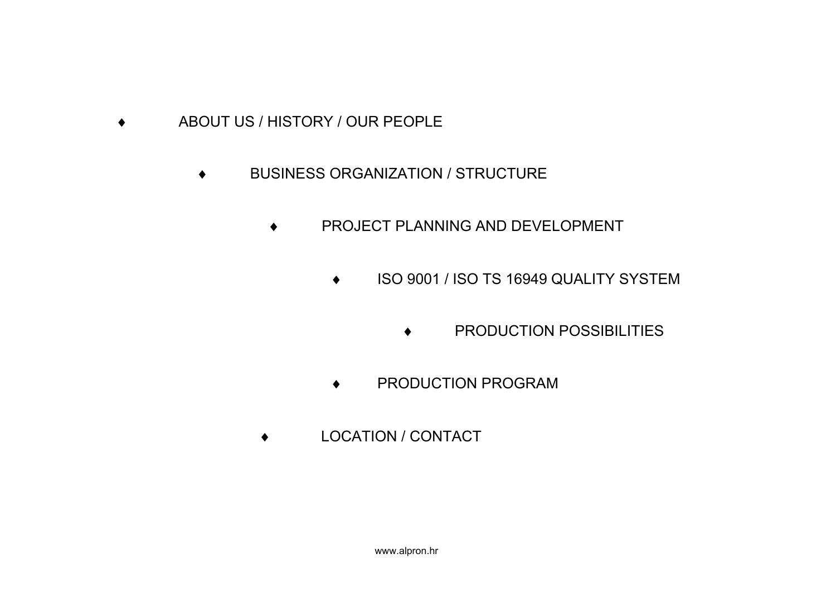- ♦ ABOUT US / HISTORY / OUR PEOPLE
	- ♦ BUSINESS ORGANIZATION / STRUCTURE
		- ♦ PROJECT PLANNING AND DEVELOPMENT
			- ♦ ISO 9001 / ISO TS 16949 QUALITY SYSTEM
				- ♦ PRODUCTION POSSIBILITIES
			- ♦ PRODUCTION PROGRAM
		- ♦ LOCATION / CONTACT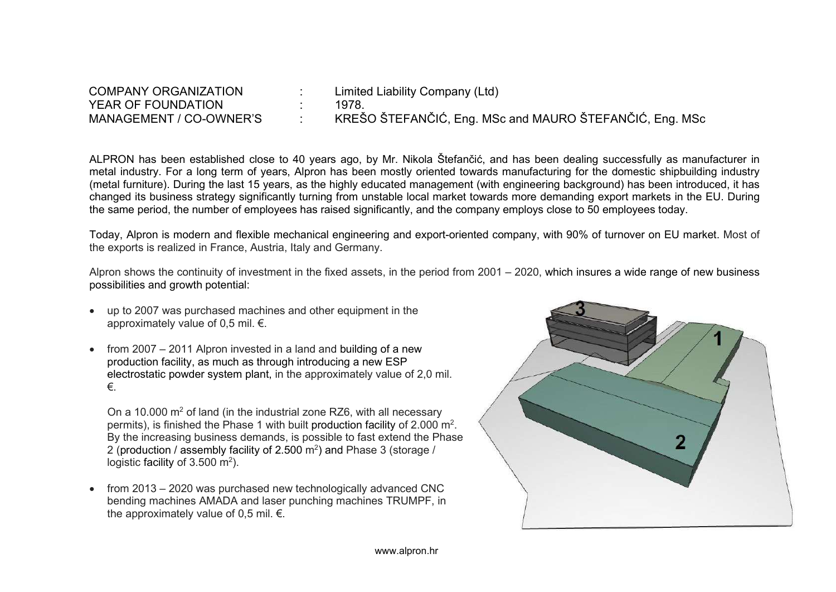| <b>COMPANY ORGANIZATION</b> | Limited Liability Company (Ltd)                         |
|-----------------------------|---------------------------------------------------------|
| YEAR OF FOUNDATION          | 1978.                                                   |
| MANAGEMENT / CO-OWNER'S     | KREŠO ŠTEFANČIĆ, Eng. MSc and MAURO ŠTEFANČIĆ, Eng. MSc |

ALPRON has been established close to 40 years ago, by Mr. Nikola Štefančić, and has been dealing successfully as manufacturer in metal industry. For a long term of years, Alpron has been mostly oriented towards manufacturing for the domestic shipbuilding industry (metal furniture). During the last 15 years, as the highly educated management (with engineering background) has been introduced, it has changed its business strategy significantly turning from unstable local market towards more demanding export markets in the EU. During the same period, the number of employees has raised significantly, and the company employs close to 50 employees today.

Today, Alpron is modern and flexible mechanical engineering and export-oriented company, with 90% of turnover on EU market. Most of the exports is realized in France, Austria, Italy and Germany.

Alpron shows the continuity of investment in the fixed assets, in the period from 2001 – 2020, which insures a wide range of new business possibilities and growth potential:

- up to 2007 was purchased machines and other equipment in the approximately value of 0,5 mil. €.
- from 2007 2011 Alpron invested in a land and building of a new production facility, as much as through introducing a new ESP electrostatic powder system plant, in the approximately value of 2,0 mil. €.

On a 10.000 m2 of land (in the industrial zone RZ6, with all necessary permits), is finished the Phase 1 with built production facility of 2.000  $\mathsf{m}^2$ . By the increasing business demands, is possible to fast extend the Phase 2 (production / assembly facility of 2.500 m $^2$ ) and Phase 3 (storage / logistic facility of 3.500  $m^2$ ).

• from 2013 – 2020 was purchased new technologically advanced CNC bending machines AMADA and laser punching machines TRUMPF, in the approximately value of 0.5 mil.  $\epsilon$ .

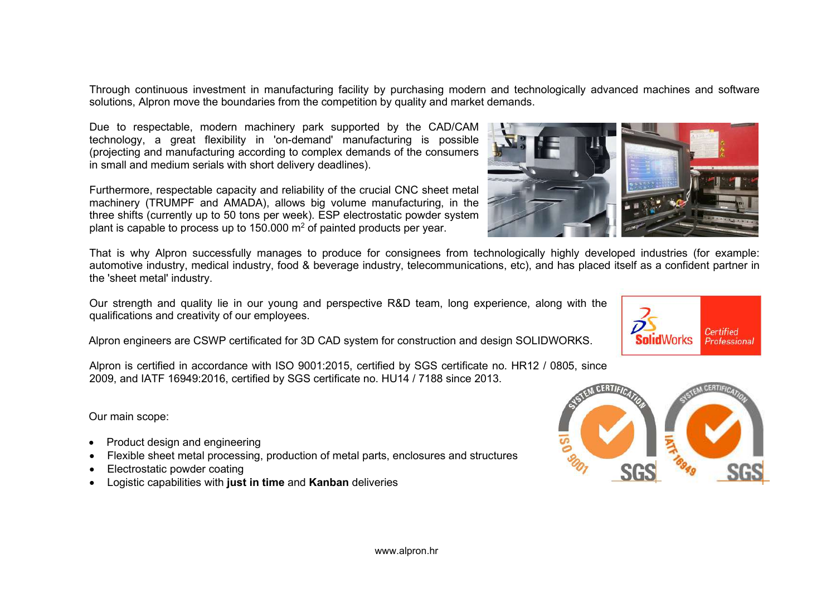Through continuous investment in manufacturing facility by purchasing modern and technologically advanced machines and software solutions, Alpron move the boundaries from the competition by quality and market demands.

Due to respectable, modern machinery park supported by the CAD/CAM technology, a great flexibility in 'on-demand' manufacturing is possible (projecting and manufacturing according to complex demands of the consumers in small and medium serials with short delivery deadlines).

Furthermore, respectable capacity and reliability of the crucial CNC sheet metal machinery (TRUMPF and AMADA), allows big volume manufacturing, in the three shifts (currently up to 50 tons per week). ESP electrostatic powder system plant is capable to process up to 150.000  $m<sup>2</sup>$  of painted products per year.

That is why Alpron successfully manages to produce for consignees from technologically highly developed industries (for example: automotive industry, medical industry, food & beverage industry, telecommunications, etc), and has placed itself as a confident partner in the 'sheet metal' industry.

Our strength and quality lie in our young and perspective R&D team, long experience, along with the qualifications and creativity of our employees.

Alpron engineers are CSWP certificated for 3D CAD system for construction and design SOLIDWORKS.

Alpron is certified in accordance with ISO 9001:2015, certified by SGS certificate no. HR12 / 0805, since 2009, and IATF 16949:2016, certified by SGS certificate no. HU14 / 7188 since 2013.

Our main scope:

- Product design and engineering
- Flexible sheet metal processing, production of metal parts, enclosures and structures
- Electrostatic powder coating
- Logistic capabilities with **just in time** and **Kanban** deliveries





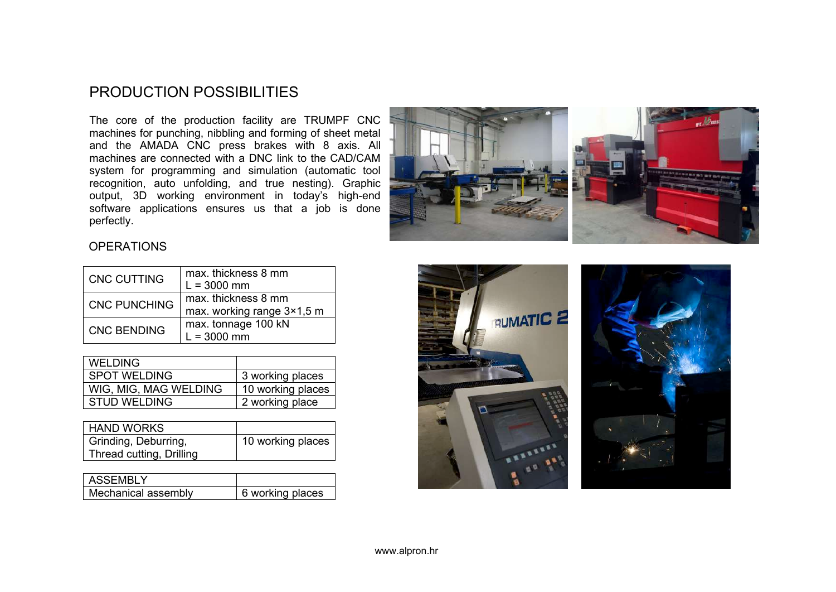#### PRODUCTION POSSIBILITIES

The core of the production facility are TRUMPF CNC machines for punching, nibbling and forming of sheet metal and the AMADA CNC press brakes with 8 axis. All machines are connected with a DNC link to the CAD/CAM system for programming and simulation (automatic tool recognition, auto unfolding, and true nesting). Graphic output, 3D working environment in today's high-end software applications ensures us that a job is done perfectly.



#### **OPERATIONS**

| <b>CNC CUTTING</b>  | max. thickness 8 mm<br>$L = 3000$ mm              |
|---------------------|---------------------------------------------------|
| <b>CNC PUNCHING</b> | max, thickness 8 mm<br>max. working range 3×1,5 m |
| <b>CNC BENDING</b>  | max. tonnage 100 kN<br>$L = 3000$ mm              |

| <b>WELDING</b>        |                   |
|-----------------------|-------------------|
| <b>SPOT WELDING</b>   | 3 working places  |
| WIG, MIG, MAG WELDING | 10 working places |
| <b>STUD WELDING</b>   | 2 working place   |

| HAND WORKS               |                   |
|--------------------------|-------------------|
| Grinding, Deburring,     | 10 working places |
| Thread cutting, Drilling |                   |

| I ASSFMBI Y         |                  |
|---------------------|------------------|
| Mechanical assembly | 6 working places |

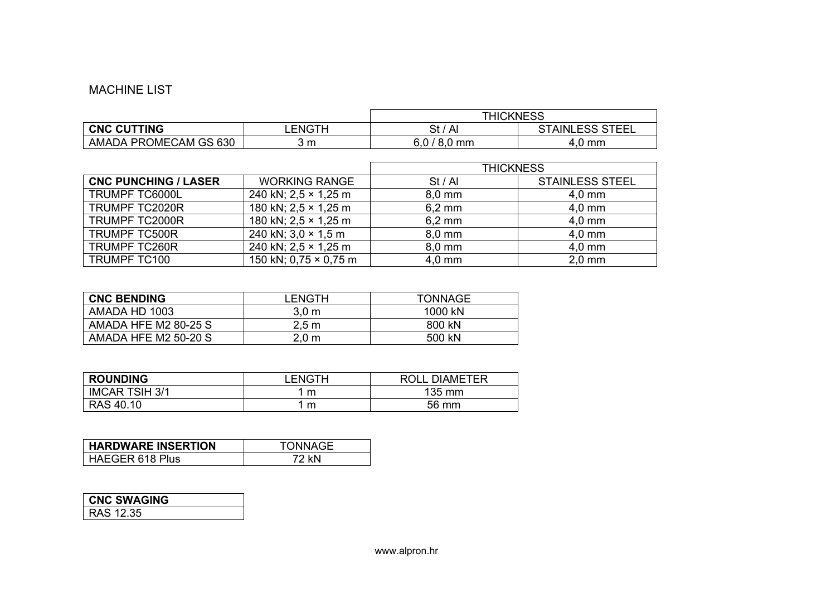#### MACHINE LIST

|                       |                | <b>THICKNESS</b>                  |                        |
|-----------------------|----------------|-----------------------------------|------------------------|
| <b>CNC CUTTING</b>    | <b>LENGTH</b>  | `Al<br>St /                       | <b>STAINLESS STEEL</b> |
| AMADA PROMECAM GS 630 | 3 <sub>m</sub> | 601<br>$^{\circ}$ 8.0 mm<br>v.v / | .0 mm                  |

|                             |                              | <b>THICKNESS</b>   |                        |
|-----------------------------|------------------------------|--------------------|------------------------|
| <b>CNC PUNCHING / LASER</b> | <b>WORKING RANGE</b>         | St / Al            | <b>STAINLESS STEEL</b> |
| <b>TRUMPF TC6000L</b>       | 240 kN; $2.5 \times 1.25$ m  | $8,0$ mm           | $4,0$ mm               |
| TRUMPF TC2020R              | 180 kN; $2.5 \times 1.25$ m  | $6,2 \, \text{mm}$ | $4,0$ mm               |
| <b>TRUMPF TC2000R</b>       | 180 kN; $2.5 \times 1.25$ m  | $6,2 \, \text{mm}$ | $4,0$ mm               |
| <b>TRUMPF TC500R</b>        | 240 kN; $3.0 \times 1.5$ m   | $8.0 \text{ mm}$   | $4,0$ mm               |
| <b>TRUMPF TC260R</b>        | 240 kN; $2,5 \times 1,25$ m  | $8,0$ mm           | $4,0$ mm               |
| TRUMPF TC100                | 150 kN; $0.75 \times 0.75$ m | $4.0 \text{ mm}$   | $2,0$ mm               |

| <b>CNC BENDING</b>          | LENGTH           | <b>TONNAGE</b> |
|-----------------------------|------------------|----------------|
| AMADA HD 1003               | 3.0 <sub>m</sub> | 1000 kN        |
| AMADA HFE M2 80-25 S        | 2.5 m            | 800 kN         |
| <b>AMADA HFE M2 50-20 S</b> | 2.0 m            | 500 kN         |

| <b>ROUNDING</b>       | LENGTH | <b>ROLL DIAMETER</b> |
|-----------------------|--------|----------------------|
| <b>IMCAR TSIH 3/1</b> | m      | 135 mm               |
| RAS 40.10             | m      | 56 mm                |

| <b>HARDWARE INSERTION</b> | TONNAGE |
|---------------------------|---------|
| HAEGER 618 Plus           | 72 kN   |

| <b>CNC SWAGING</b> |  |
|--------------------|--|
| <b>RAS 12.35</b>   |  |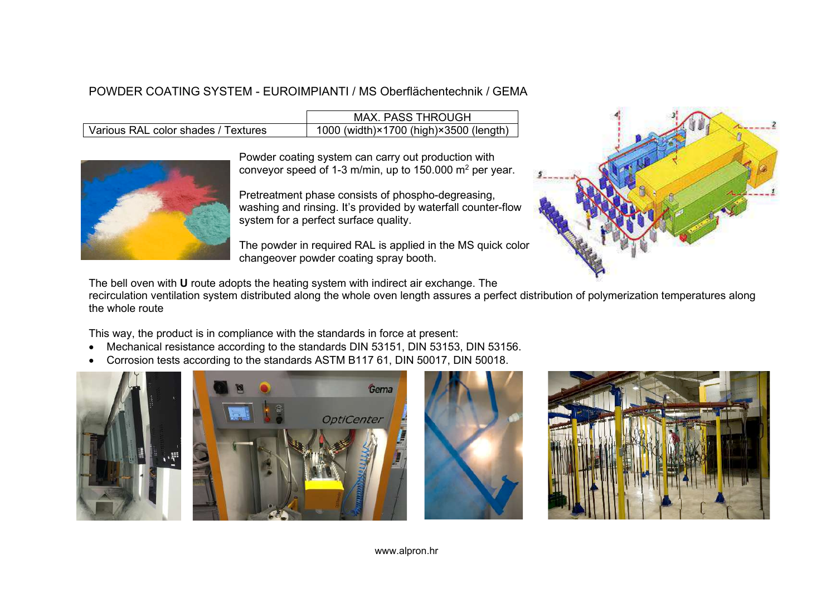#### POWDER COATING SYSTEM - EUROIMPIANTI / MS Oberflächentechnik / GEMA

|                                     | <b>MAX. PASS THROUGH</b>               |
|-------------------------------------|----------------------------------------|
| Various RAL color shades / Textures | 1000 (width)×1700 (high)×3500 (length) |



Powder coating system can carry out production with conveyor speed of 1-3 m/min, up to 150.000 m2 per year.

Pretreatment phase consists of phospho-degreasing, washing and rinsing. It's provided by waterfall counter-flow system for a perfect surface quality.

The powder in required RAL is applied in the MS quick color changeover powder coating spray booth.



The bell oven with **U** route adopts the heating system with indirect air exchange. The

recirculation ventilation system distributed along the whole oven length assures a perfect distribution of polymerization temperatures along the whole route

This way, the product is in compliance with the standards in force at present:

- Mechanical resistance according to the standards DIN 53151, DIN 53153, DIN 53156.
- Corrosion tests according to the standards ASTM B117 61, DIN 50017, DIN 50018.







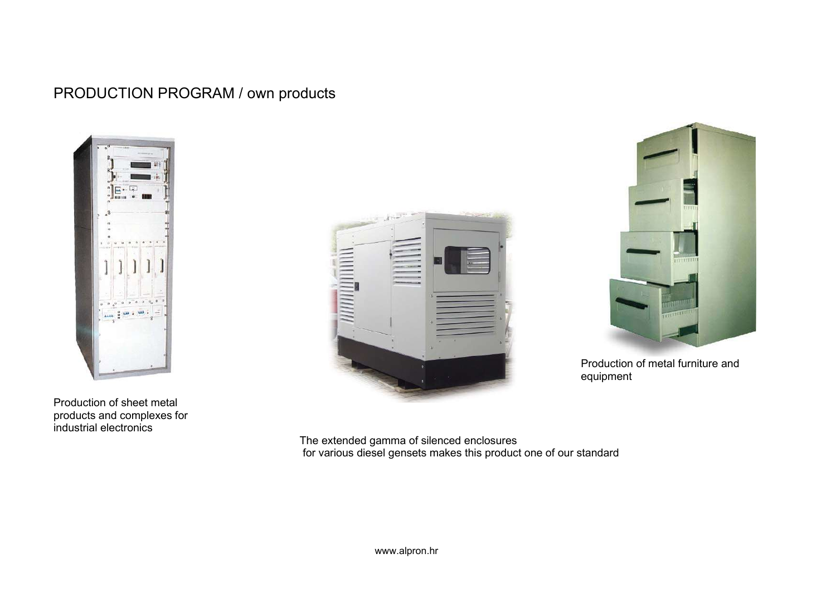### PRODUCTION PROGRAM / own products



Production of sheet metal products and complexes for industrial electronics





Production of metal furniture and equipment

The extended gamma of silenced enclosures for various diesel gensets makes this product one of our standard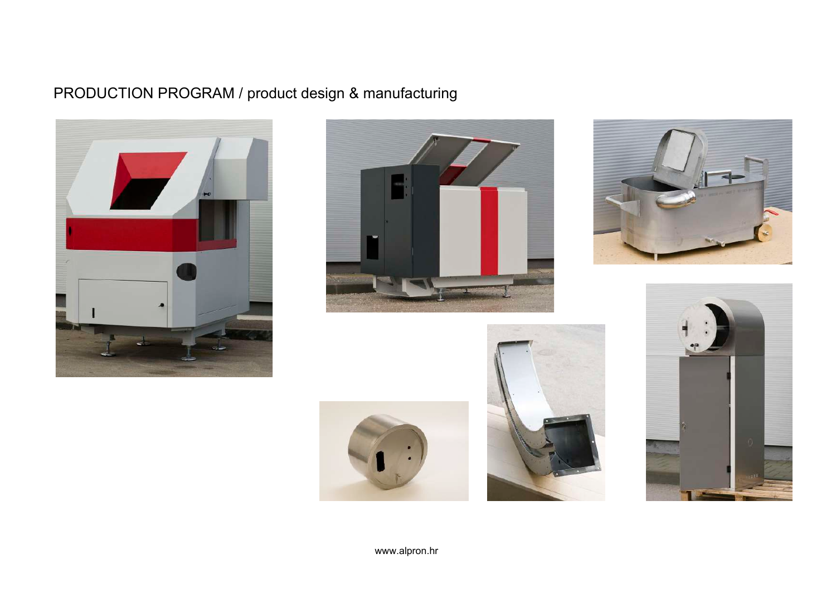# PRODUCTION PROGRAM / product design & manufacturing











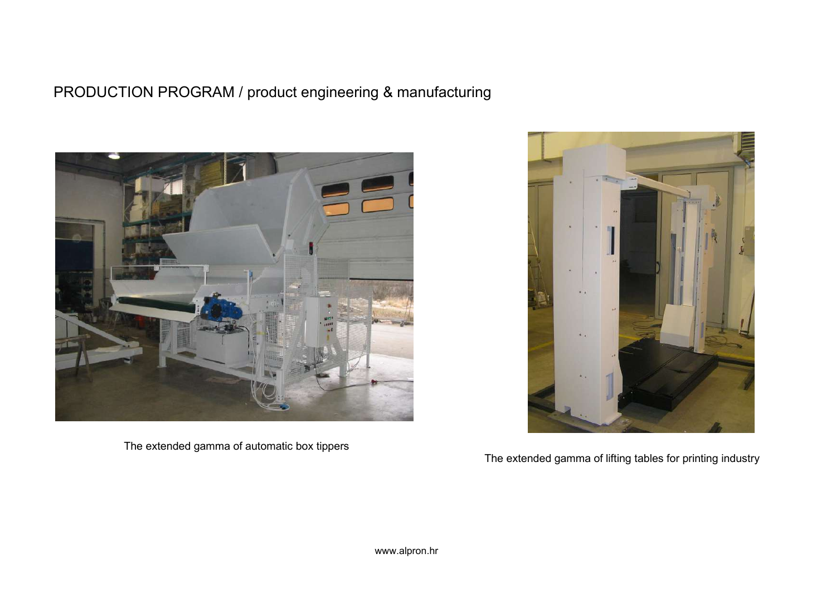## PRODUCTION PROGRAM / product engineering & manufacturing



The extended gamma of automatic box tippers



The extended gamma of lifting tables for printing industry